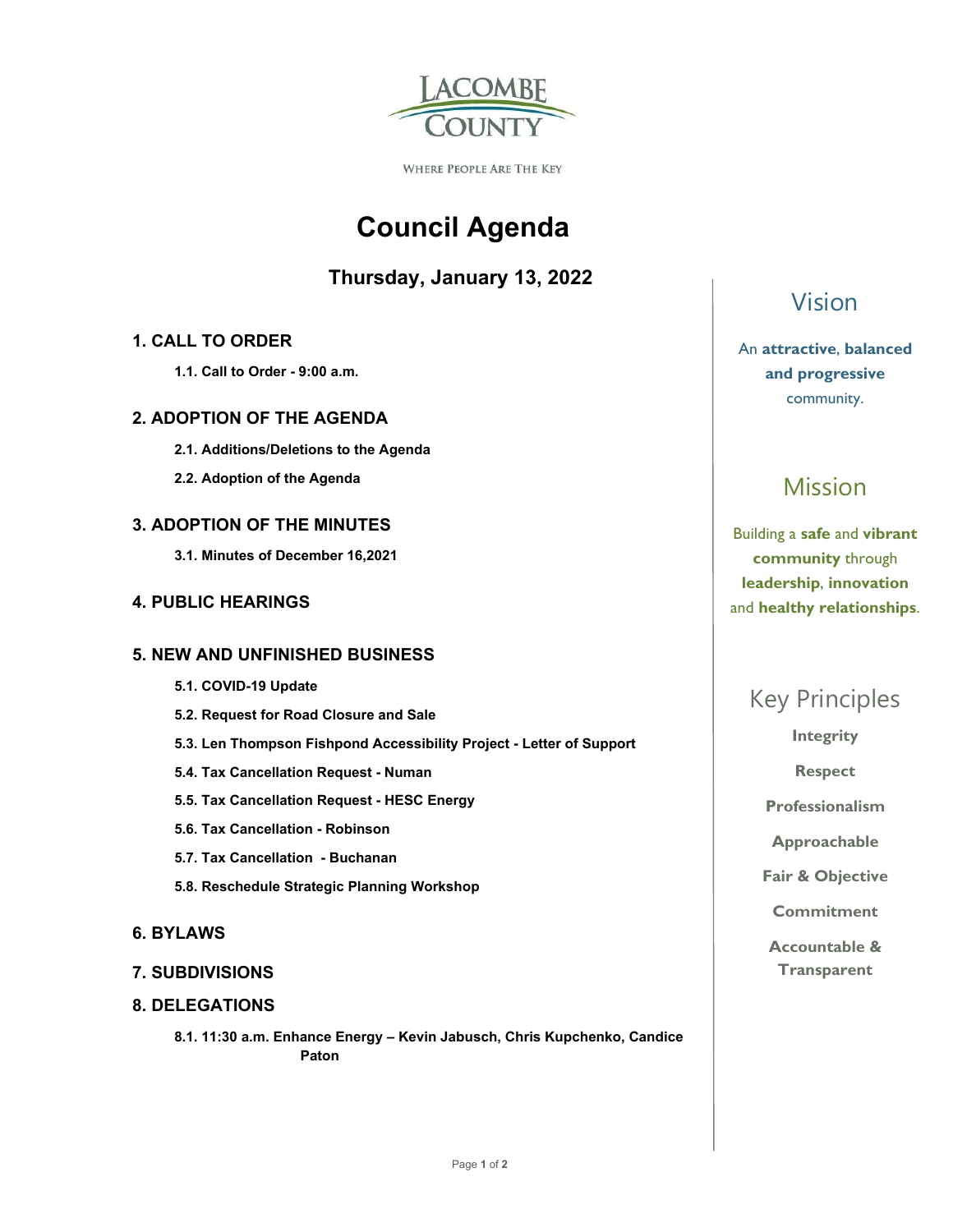

WHERE PEOPLE ARE THE KEY

# **Council Agenda**

### **Thursday, January 13, 2022**

### **1. CALL TO ORDER**

 **1.1. Call to Order - 9:00 a.m.** 

### **2. ADOPTION OF THE AGENDA**

- **2.1. Additions/Deletions to the Agenda**
- **2.2. Adoption of the Agenda**

### **3. ADOPTION OF THE MINUTES**

 **3.1. Minutes of December 16,2021** 

### **4. PUBLIC HEARINGS**

### **5. NEW AND UNFINISHED BUSINESS**

- **5.1. COVID-19 Update**
- **5.2. Request for Road Closure and Sale**
- **5.3. Len Thompson Fishpond Accessibility Project Letter of Support**
- **5.4. Tax Cancellation Request Numan**
- **5.5. Tax Cancellation Request HESC Energy**
- **5.6. Tax Cancellation Robinson**
- **5.7. Tax Cancellation Buchanan**
- **5.8. Reschedule Strategic Planning Workshop**

### **6. BYLAWS**

### **7. SUBDIVISIONS**

### **8. DELEGATIONS**

 **8.1. 11:30 a.m. Enhance Energy – Kevin Jabusch, Chris Kupchenko, Candice Paton** 

## Vision

### An **attractive**, **balanced and progressive**  community.

# Mission

Building a **safe** and **vibrant community** through **leadership**, **innovation**  and **healthy relationships**.

## Key Principles

**Integrity** 

**Respect** 

**Professionalism** 

**Approachable** 

**Fair & Objective** 

**Commitment** 

**Accountable & Transparent**